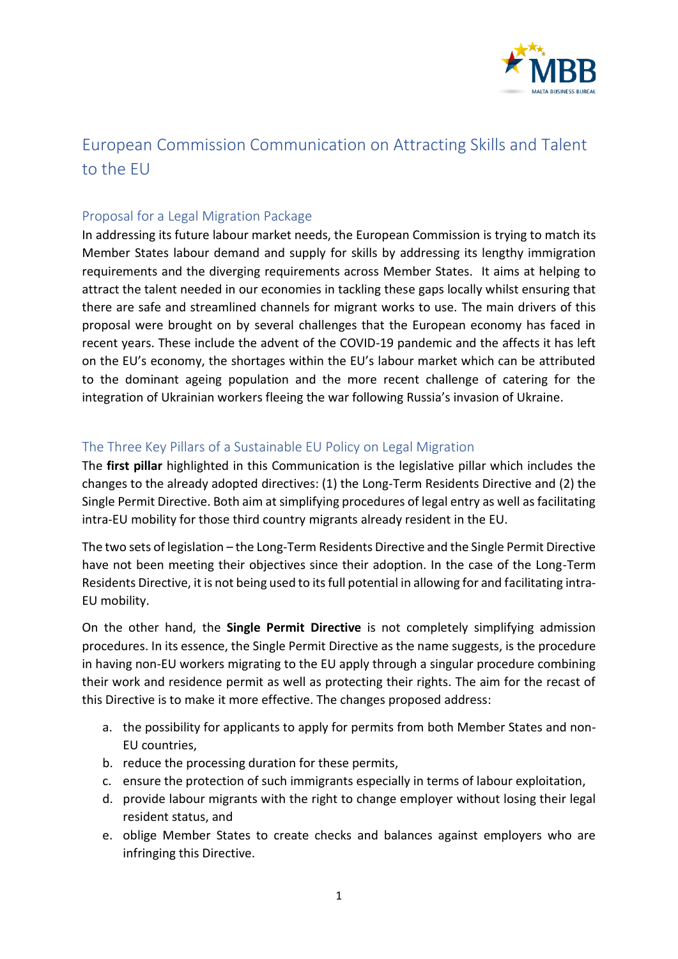

## European Commission Communication on Attracting Skills and Talent to the EU

## Proposal for a Legal Migration Package

In addressing its future labour market needs, the European Commission is trying to match its Member States labour demand and supply for skills by addressing its lengthy immigration requirements and the diverging requirements across Member States. It aims at helping to attract the talent needed in our economies in tackling these gaps locally whilst ensuring that there are safe and streamlined channels for migrant works to use. The main drivers of this proposal were brought on by several challenges that the European economy has faced in recent years. These include the advent of the COVID-19 pandemic and the affects it has left on the EU's economy, the shortages within the EU's labour market which can be attributed to the dominant ageing population and the more recent challenge of catering for the integration of Ukrainian workers fleeing the war following Russia's invasion of Ukraine.

## The Three Key Pillars of a Sustainable EU Policy on Legal Migration

The **first pillar** highlighted in this Communication is the legislative pillar which includes the changes to the already adopted directives: (1) the Long-Term Residents Directive and (2) the Single Permit Directive. Both aim at simplifying procedures of legal entry as well as facilitating intra-EU mobility for those third country migrants already resident in the EU.

The two sets of legislation – the Long-Term Residents Directive and the Single Permit Directive have not been meeting their objectives since their adoption. In the case of the Long-Term Residents Directive, it is not being used to its full potential in allowing for and facilitating intra-EU mobility.

On the other hand, the **Single Permit Directive** is not completely simplifying admission procedures. In its essence, the Single Permit Directive as the name suggests, is the procedure in having non-EU workers migrating to the EU apply through a singular procedure combining their work and residence permit as well as protecting their rights. The aim for the recast of this Directive is to make it more effective. The changes proposed address:

- a. the possibility for applicants to apply for permits from both Member States and non-EU countries,
- b. reduce the processing duration for these permits,
- c. ensure the protection of such immigrants especially in terms of labour exploitation,
- d. provide labour migrants with the right to change employer without losing their legal resident status, and
- e. oblige Member States to create checks and balances against employers who are infringing this Directive.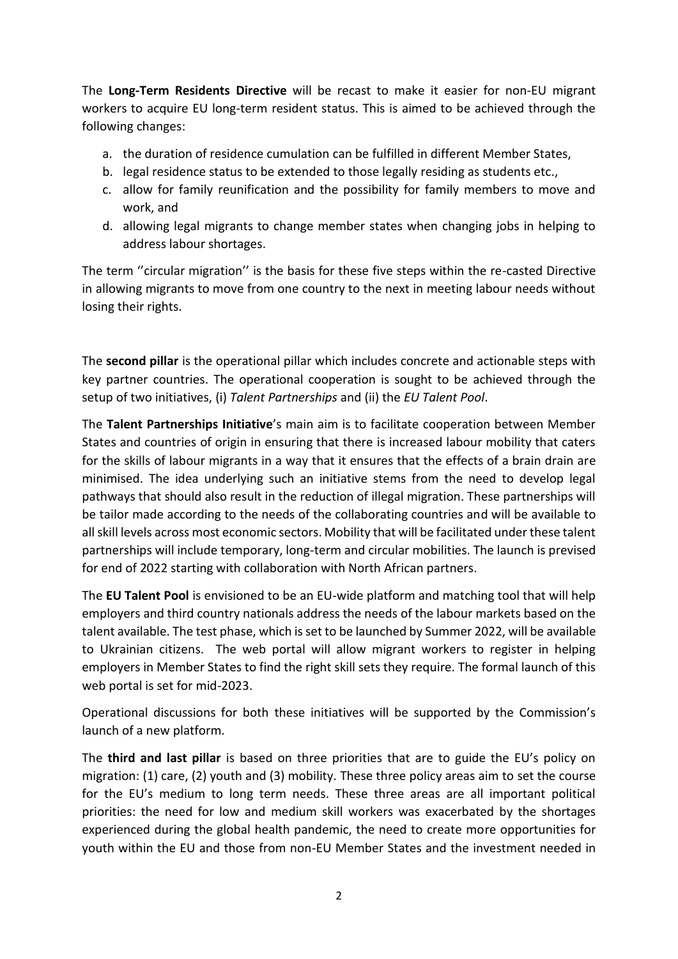The **Long-Term Residents Directive** will be recast to make it easier for non-EU migrant workers to acquire EU long-term resident status. This is aimed to be achieved through the following changes:

- a. the duration of residence cumulation can be fulfilled in different Member States,
- b. legal residence status to be extended to those legally residing as students etc.,
- c. allow for family reunification and the possibility for family members to move and work, and
- d. allowing legal migrants to change member states when changing jobs in helping to address labour shortages.

The term "circular migration" is the basis for these five steps within the re-casted Directive in allowing migrants to move from one country to the next in meeting labour needs without losing their rights.

The **second pillar** is the operational pillar which includes concrete and actionable steps with key partner countries. The operational cooperation is sought to be achieved through the setup of two initiatives, (i) *Talent Partnerships* and (ii) the *EU Talent Pool*.

The **Talent Partnerships Initiative**'s main aim is to facilitate cooperation between Member States and countries of origin in ensuring that there is increased labour mobility that caters for the skills of labour migrants in a way that it ensures that the effects of a brain drain are minimised. The idea underlying such an initiative stems from the need to develop legal pathways that should also result in the reduction of illegal migration. These partnerships will be tailor made according to the needs of the collaborating countries and will be available to all skill levels across most economic sectors. Mobility that will be facilitated under these talent partnerships will include temporary, long-term and circular mobilities. The launch is prevised for end of 2022 starting with collaboration with North African partners.

The **EU Talent Pool** is envisioned to be an EU-wide platform and matching tool that will help employers and third country nationals address the needs of the labour markets based on the talent available. The test phase, which is set to be launched by Summer 2022, will be available to Ukrainian citizens. The web portal will allow migrant workers to register in helping employers in Member States to find the right skill sets they require. The formal launch of this web portal is set for mid-2023.

Operational discussions for both these initiatives will be supported by the Commission's launch of a new platform.

The **third and last pillar** is based on three priorities that are to guide the EU's policy on migration: (1) care, (2) youth and (3) mobility. These three policy areas aim to set the course for the EU's medium to long term needs. These three areas are all important political priorities: the need for low and medium skill workers was exacerbated by the shortages experienced during the global health pandemic, the need to create more opportunities for youth within the EU and those from non-EU Member States and the investment needed in